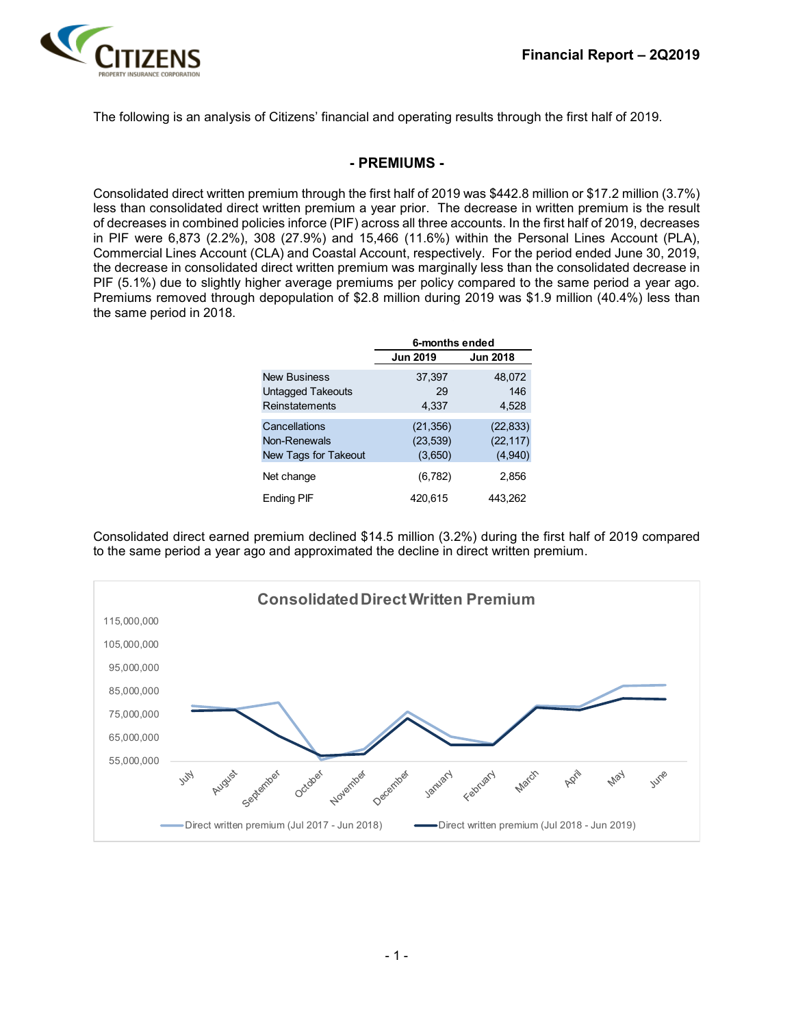

The following is an analysis of Citizens' financial and operating results through the first half of 2019.

#### **- PREMIUMS -**

Consolidated direct written premium through the first half of 2019 was \$442.8 million or \$17.2 million (3.7%) less than consolidated direct written premium a year prior. The decrease in written premium is the result of decreases in combined policies inforce (PIF) across all three accounts. In the first half of 2019, decreases in PIF were 6,873 (2.2%), 308 (27.9%) and 15,466 (11.6%) within the Personal Lines Account (PLA), Commercial Lines Account (CLA) and Coastal Account, respectively. For the period ended June 30, 2019, the decrease in consolidated direct written premium was marginally less than the consolidated decrease in PIF (5.1%) due to slightly higher average premiums per policy compared to the same period a year ago. Premiums removed through depopulation of \$2.8 million during 2019 was \$1.9 million (40.4%) less than the same period in 2018.

|                      | 6-months ended  |                 |  |  |  |
|----------------------|-----------------|-----------------|--|--|--|
|                      | <b>Jun 2019</b> | <b>Jun 2018</b> |  |  |  |
| <b>New Business</b>  | 37,397          | 48,072          |  |  |  |
| Untagged Takeouts    | 29              | 146             |  |  |  |
| Reinstatements       | 4,337           | 4,528           |  |  |  |
|                      |                 |                 |  |  |  |
| Cancellations        | (21, 356)       | (22, 833)       |  |  |  |
| Non-Renewals         | (23, 539)       | (22, 117)       |  |  |  |
| New Tags for Takeout | (3,650)         | (4,940)         |  |  |  |
| Net change           | (6, 782)        | 2,856           |  |  |  |
| Ending PIF           | 420,615         | 443,262         |  |  |  |

Consolidated direct earned premium declined \$14.5 million (3.2%) during the first half of 2019 compared to the same period a year ago and approximated the decline in direct written premium.

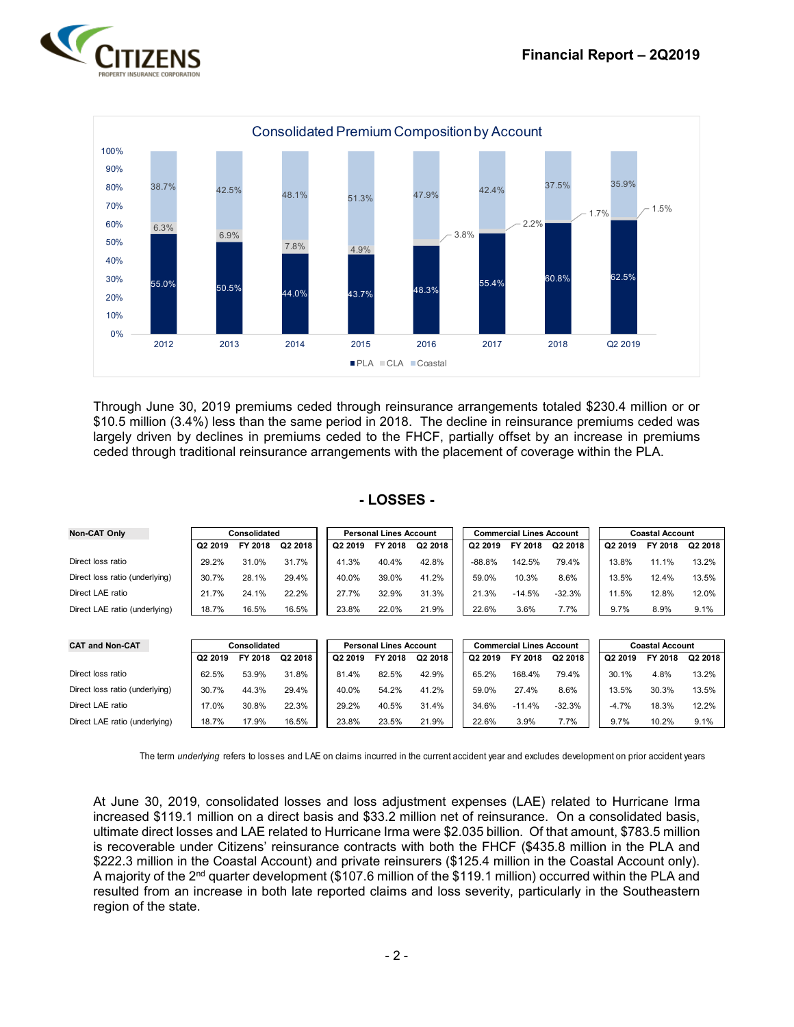



Through June 30, 2019 premiums ceded through reinsurance arrangements totaled \$230.4 million or or \$10.5 million (3.4%) less than the same period in 2018. The decline in reinsurance premiums ceded was largely driven by declines in premiums ceded to the FHCF, partially offset by an increase in premiums ceded through traditional reinsurance arrangements with the placement of coverage within the PLA.

#### **- LOSSES -**

| Non-CAT Only                   | Consolidated        |         |         | <b>Personal Lines Account</b> |         |         | <b>Commercial Lines Account</b> |          |          |  | <b>Coastal Account</b> |         |         |
|--------------------------------|---------------------|---------|---------|-------------------------------|---------|---------|---------------------------------|----------|----------|--|------------------------|---------|---------|
|                                | Q <sub>2</sub> 2019 | FY 2018 | Q2 2018 | Q2 2019                       | FY 2018 | Q2 2018 | Q <sub>2</sub> 2019             | FY 2018  | Q2 2018  |  | Q2 2019                | FY 2018 | Q2 2018 |
| Direct loss ratio              | 29.2%               | 31.0%   | 31.7%   | 41.3%                         | 40.4%   | 42.8%   | $-88.8%$                        | 142.5%   | 79.4%    |  | 13.8%                  | 11.1%   | 13.2%   |
| Direct loss ratio (underlying) | 30.7%               | 28.1%   | 29.4%   | 40.0%                         | 39.0%   | 41.2%   | 59.0%                           | 10.3%    | 8.6%     |  | 13.5%                  | 12.4%   | 13.5%   |
| Direct LAE ratio               | 21.7%               | 24.1%   | 22.2%   | 27.7%                         | 32.9%   | 31.3%   | 21.3%                           | $-14.5%$ | $-32.3%$ |  | 11.5%                  | 12.8%   | 12.0%   |
| Direct LAE ratio (underlying)  | 18.7%               | 16.5%   | 16.5%   | 23.8%                         | 22.0%   | 21.9%   | 22.6%                           | 3.6%     | 7.7%     |  | 9.7%                   | 8.9%    | 9.1%    |

| <b>CAT and Non-CAT</b>         | Consolidated        |         |         | <b>Personal Lines Account</b> |         |         |  | <b>Commercial Lines Account</b> |          | <b>Coastal Account</b> |         |         |         |
|--------------------------------|---------------------|---------|---------|-------------------------------|---------|---------|--|---------------------------------|----------|------------------------|---------|---------|---------|
|                                | Q <sub>2</sub> 2019 | FY 2018 | Q2 2018 | Q2 2019                       | FY 2018 | Q2 2018 |  | Q2 2019                         | FY 2018  | Q2 2018                | Q2 2019 | FY 2018 | Q2 2018 |
| Direct loss ratio              | 62.5%               | 53.9%   | 31.8%   | 81.4%                         | 82.5%   | 42.9%   |  | 65.2%                           | 168.4%   | 79.4%                  | 30.1%   | 4.8%    | 13.2%   |
| Direct loss ratio (underlying) | 30.7%               | 44.3%   | 29.4%   | 40.0%                         | 54.2%   | 41.2%   |  | 59.0%                           | 27.4%    | 8.6%                   | 13.5%   | 30.3%   | 13.5%   |
| Direct LAE ratio               | 17.0%               | 30.8%   | 22.3%   | 29.2%                         | 40.5%   | 31.4%   |  | 34.6%                           | $-11.4%$ | $-32.3%$               | $-4.7%$ | 18.3%   | 12.2%   |
| Direct LAE ratio (underlying)  | 18.7%               | 17.9%   | 16.5%   | 23.8%                         | 23.5%   | 21.9%   |  | 22.6%                           | 3.9%     | 7.7%                   | 9.7%    | 10.2%   | 9.1%    |

The term *underlying* refers to losses and LAE on claims incurred in the current accident year and excludes development on prior accident years

At June 30, 2019, consolidated losses and loss adjustment expenses (LAE) related to Hurricane Irma increased \$119.1 million on a direct basis and \$33.2 million net of reinsurance. On a consolidated basis, ultimate direct losses and LAE related to Hurricane Irma were \$2.035 billion. Of that amount, \$783.5 million is recoverable under Citizens' reinsurance contracts with both the FHCF (\$435.8 million in the PLA and \$222.3 million in the Coastal Account) and private reinsurers (\$125.4 million in the Coastal Account only). A majority of the 2<sup>nd</sup> quarter development (\$107.6 million of the \$119.1 million) occurred within the PLA and resulted from an increase in both late reported claims and loss severity, particularly in the Southeastern region of the state.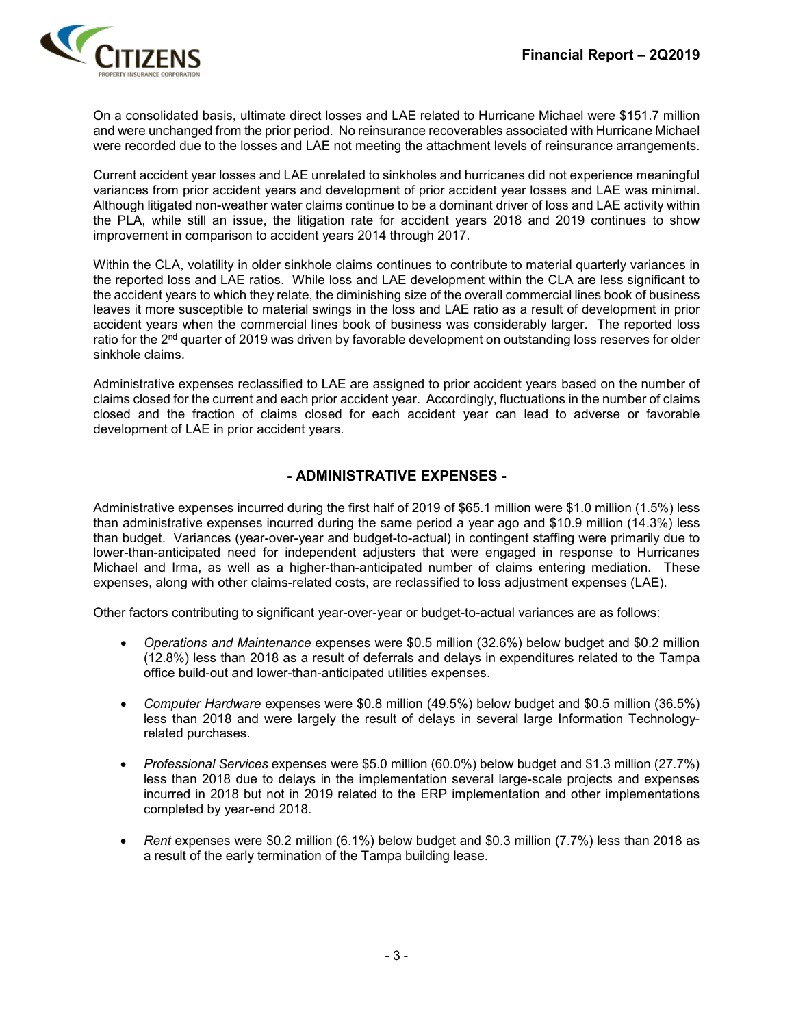

On a consolidated basis, ultimate direct losses and LAE related to Hurricane Michael were \$151.7 million and were unchanged from the prior period. No reinsurance recoverables associated with Hurricane Michael were recorded due to the losses and LAE not meeting the attachment levels of reinsurance arrangements.

Current accident year losses and LAE unrelated to sinkholes and hurricanes did not experience meaningful variances from prior accident years and development of prior accident year losses and LAE was minimal. Although litigated non-weather water claims continue to be a dominant driver of loss and LAE activity within the PLA, while still an issue, the litigation rate for accident years 2018 and 2019 continues to show improvement in comparison to accident years 2014 through 2017.

Within the CLA, volatility in older sinkhole claims continues to contribute to material quarterly variances in the reported loss and LAE ratios. While loss and LAE development within the CLA are less significant to the accident years to which they relate, the diminishing size of the overall commercial lines book of business leaves it more susceptible to material swings in the loss and LAE ratio as a result of development in prior accident years when the commercial lines book of business was considerably larger. The reported loss ratio for the 2<sup>nd</sup> quarter of 2019 was driven by favorable development on outstanding loss reserves for older sinkhole claims.

Administrative expenses reclassified to LAE are assigned to prior accident years based on the number of claims closed for the current and each prior accident year. Accordingly, fluctuations in the number of claims closed and the fraction of claims closed for each accident year can lead to adverse or favorable development of LAE in prior accident years.

### **- ADMINISTRATIVE EXPENSES -**

Administrative expenses incurred during the first half of 2019 of \$65.1 million were \$1.0 million (1.5%) less than administrative expenses incurred during the same period a year ago and \$10.9 million (14.3%) less than budget. Variances (year-over-year and budget-to-actual) in contingent staffing were primarily due to lower-than-anticipated need for independent adjusters that were engaged in response to Hurricanes Michael and Irma, as well as a higher-than-anticipated number of claims entering mediation. These expenses, along with other claims-related costs, are reclassified to loss adjustment expenses (LAE).

Other factors contributing to significant year-over-year or budget-to-actual variances are as follows:

- *Operations and Maintenance* expenses were \$0.5 million (32.6%) below budget and \$0.2 million (12.8%) less than 2018 as a result of deferrals and delays in expenditures related to the Tampa office build-out and lower-than-anticipated utilities expenses.
- *Computer Hardware* expenses were \$0.8 million (49.5%) below budget and \$0.5 million (36.5%) less than 2018 and were largely the result of delays in several large Information Technologyrelated purchases.
- *Professional Services* expenses were \$5.0 million (60.0%) below budget and \$1.3 million (27.7%) less than 2018 due to delays in the implementation several large-scale projects and expenses incurred in 2018 but not in 2019 related to the ERP implementation and other implementations completed by year-end 2018.
- *Rent* expenses were \$0.2 million (6.1%) below budget and \$0.3 million (7.7%) less than 2018 as a result of the early termination of the Tampa building lease.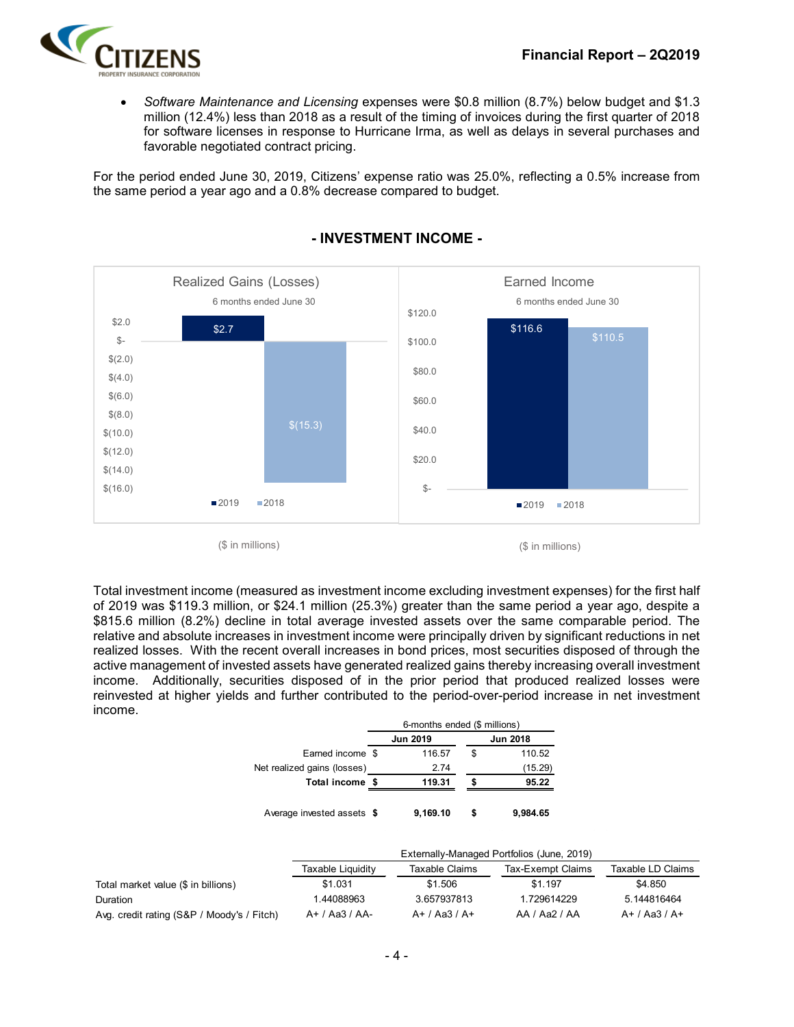

• *Software Maintenance and Licensing* expenses were \$0.8 million (8.7%) below budget and \$1.3 million (12.4%) less than 2018 as a result of the timing of invoices during the first quarter of 2018 for software licenses in response to Hurricane Irma, as well as delays in several purchases and favorable negotiated contract pricing.

For the period ended June 30, 2019, Citizens' expense ratio was 25.0%, reflecting a 0.5% increase from the same period a year ago and a 0.8% decrease compared to budget.



# **- INVESTMENT INCOME -**

 $($$  in millions)  $($$  in millions)

Total investment income (measured as investment income excluding investment expenses) for the first half of 2019 was \$119.3 million, or \$24.1 million (25.3%) greater than the same period a year ago, despite a \$815.6 million (8.2%) decline in total average invested assets over the same comparable period. The relative and absolute increases in investment income were principally driven by significant reductions in net realized losses. With the recent overall increases in bond prices, most securities disposed of through the active management of invested assets have generated realized gains thereby increasing overall investment income. Additionally, securities disposed of in the prior period that produced realized losses were reinvested at higher yields and further contributed to the period-over-period increase in net investment income.

|                             | 6-months ended (\$ millions) |                 |   |                 |  |  |
|-----------------------------|------------------------------|-----------------|---|-----------------|--|--|
|                             |                              | <b>Jun 2019</b> |   | <b>Jun 2018</b> |  |  |
| Earned income \$            |                              | 116.57          | S | 110.52          |  |  |
| Net realized gains (losses) |                              | 2.74            |   | (15.29)         |  |  |
| Total income \$             |                              | 119.31          |   | 95.22           |  |  |
| Average invested assets \$  |                              | 9.169.10        |   | 9.984.65        |  |  |

|                                            | Externally-Managed Portfolios (June, 2019) |                 |                   |                   |  |  |  |  |  |
|--------------------------------------------|--------------------------------------------|-----------------|-------------------|-------------------|--|--|--|--|--|
|                                            | Taxable Liquidity                          | Taxable Claims  | Tax-Exempt Claims | Taxable LD Claims |  |  |  |  |  |
| Total market value (\$ in billions)        | \$1.031                                    | \$1.506         | \$1.197           | \$4.850           |  |  |  |  |  |
| Duration                                   | 1.44088963                                 | 3.657937813     | 1.729614229       | 5.144816464       |  |  |  |  |  |
| Avg. credit rating (S&P / Moody's / Fitch) | $A+ / Aa3 / AA-$                           | $A+ / Aa3 / A+$ | AA / Aa2 / AA     | $A+ / Aa3 / A+$   |  |  |  |  |  |